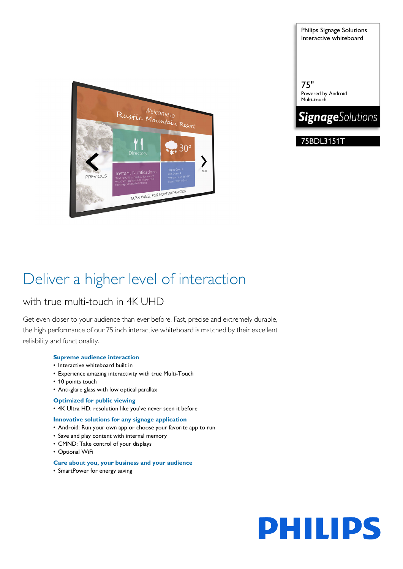

Interactive whiteboard

Philips Signage Solutions

75" Powered by Android Multi-touch



75BDL3151T

# Deliver a higher level of interaction

# with true multi-touch in 4K UHD

Get even closer to your audience than ever before. Fast, precise and extremely durable, the high performance of our 75 inch interactive whiteboard is matched by their excellent reliability and functionality.

# **Supreme audience interaction**

- Interactive whiteboard built in
- Experience amazing interactivity with true Multi-Touch
- 10 points touch
- Anti-glare glass with low optical parallax
- **Optimized for public viewing**
- 4K Ultra HD: resolution like you've never seen it before

# **Innovative solutions for any signage application**

- Android: Run your own app or choose your favorite app to run
- Save and play content with internal memory
- CMND: Take control of your displays
- Optional WiFi

# **Care about you, your business and your audience**

• SmartPower for energy saving

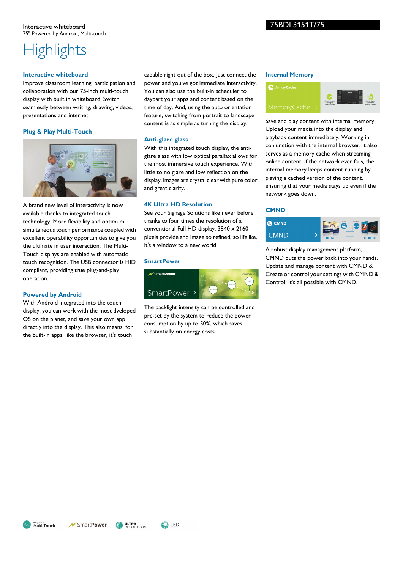### Interactive whiteboard 75" Powered by Android, Multi-touch

# 75BDL3151T/75

# **Highlights**

### **Interactive whiteboard**

Improve classroom learning, participation and collaboration with our 75-inch multi-touch display with built in whiteboard. Switch seamlessly between writing, drawing, videos, presentations and internet.

# **Plug & Play Multi-Touch**



A brand new level of interactivity is now available thanks to integrated touch technology. More flexibility and optimum simultaneous touch performance coupled with excellent operability opportunities to give you the ultimate in user interaction. The Multi-Touch displays are enabled with automatic touch recognition. The USB connector is HID compliant, providing true plug-and-play operation.

# **Powered by Android**

With Android integrated into the touch display, you can work with the most dveloped OS on the planet, and save your own app directly into the display. This also means, for the built-in apps, like the browser, it's touch

capable right out of the box. Just connect the power and you've got immediate interactivity. You can also use the built-in scheduler to daypart your apps and content based on the time of day. And, using the auto orientation feature, switching from portrait to landscape content is as simple as turning the display.

# **Anti-glare glass**

With this integrated touch display, the antiglare glass with low optical parallax allows for the most immersive touch experience. With little to no glare and low reflection on the display, images are crystal clear with pure color and great clarity.

# **4K Ultra HD Resolution**

See your Signage Solutions like never before thanks to four times the resolution of a conventional Full HD display. 3840 x 2160 pixels provide and image so refined, so lifelike, it's a window to a new world.

### **SmartPower**



The backlight intensity can be controlled and pre-set by the system to reduce the power consumption by up to 50%, which saves substantially on energy costs.

#### **Internal Memory**



Save and play content with internal memory. Upload your media into the display and playback content immediately. Working in conjunction with the internal browser, it also serves as a memory cache when streaming online content. If the network ever fails, the internal memory keeps content running by playing a cached version of the content, ensuring that your media stays up even if the network goes down.

# **CMND**



A robust display management platform, CMND puts the power back into your hands. Update and manage content with CMND & Create or control your settings with CMND & Control. It's all possible with CMND.



**ULTRA**<br>Resolution